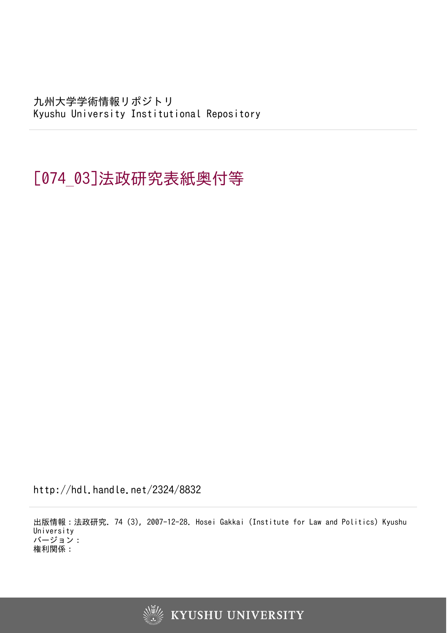九州大学学術情報リポジトリ Kyushu University Institutional Repository

[074\_03]法政研究表紙奥付等

http://hdl.handle.net/2324/8832

出版情報:法政研究. 74 (3), 2007-12-28. Hosei Gakkai (Institute for Law and Politics) Kyushu University バージョン: 権利関係: